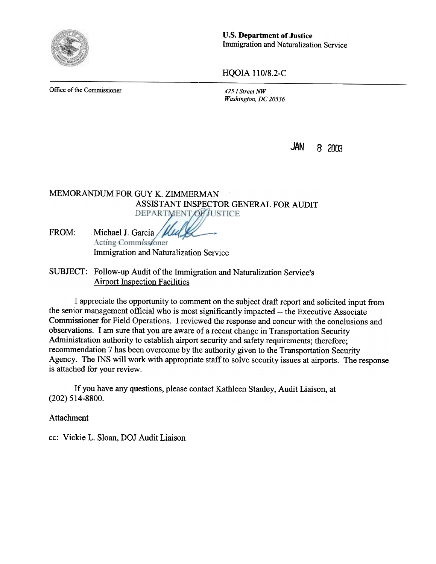

u.s. Department of Justice Immigration and Naturalization Service

HQOIA 110/8.2-C

Office of the Commissioner 425 I Street NW

Washington, DC 20536

 $JAN$  8 2003

## MEMORANDUM FOR GUY K. ZIMMERMAN ASSISTANT INSPECTOR GENERAL FOR AUDIT **DEPARTMENT OF JUSTICE**

FROM: Michael J. Garcia / Mull Acting Commissioner Immigration and Naturalization Service

## SUBJECT: Follow-up Audit of the Immigration and Naturalization Service's **Airport Inspection Facilities**

I appreciate the opportunity to comment on the subject draft report and solicited input from the senior management official who is most significantly impacted --the Executive Associate Commissioner for Field Operations. I reviewed the response and concur with the conclusions and observations. I am sure that you are aware of a recent change in Transportation Security Administration authority to establish airport security and safety requirements; therefore; recommendation 7 has been overcome by the authority given to the Transportation Security Agency. The INS will work with appropriate staff to solve security issues at airports. The response is attached for your review.

If you have any questions, please contact Kathleen Stanley, Audit Liaison, at (202) 514-8800.

Attachment

cc: Vickie L. Sloan, DOJ Audit Liaison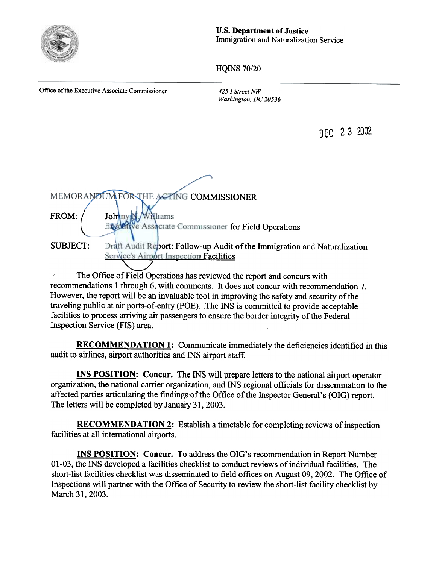

u.s. Department of Justice Immigration and Naturalization Service

HQINS 70/20

Office of the Executive Associate Commissioner 425 I Street NW

Washington. DC 20536

DEC 2 3 2002

MEMORANDUM FOR THE ACTING COMMISSIONER I FROM: Johnny VNhams Engder We Associate Commissioner for Field Operations SUBJECT: Draft Audit Report: Follow-up Audit of the Immigration and Naturalization Service's Airport Inspection Facilities

The Office of Field Operations has reviewed the report and concurs with recommendations 1 through 6, with comments. It does not concur with recommendation 7. However, the report will be an invaluable tool in improving the safety and security of the traveling public at air ports-of-entry (POE). The INS is committed to provide acceptable facilities to process arriving air passengers to ensure the border integrity of the Federal Inspection Service (FIS) area.

RECOMMENDATION 1: Communicate immediately the deficiencies identified in this audit to airlines, airport authorities and INS airport staff.

INS POSITION: Concur. The INS will prepare letters to the national airport operator organization, the national carrier organization, and INS regional officials for dissemination to the affected parties articulating the findings of the Office of the Inspector General's (DIG) report. The letters will be completed by January 31,2003.

RECOMMENDATION 2: Establish a timetable for completing reviews of inspection facilities at all international airports.

INS POSITION: Concur. To address the OlG's recommendation in Report Number 01-03, the INS developed a facilities checklist to conduct reviews of individual facilities. The short-list facilities checklist was disseminated to field offices on August 09, 2002. The Office of Inspections will partner with the Office of Security to review the short-list facility checklist by March 31, 2003.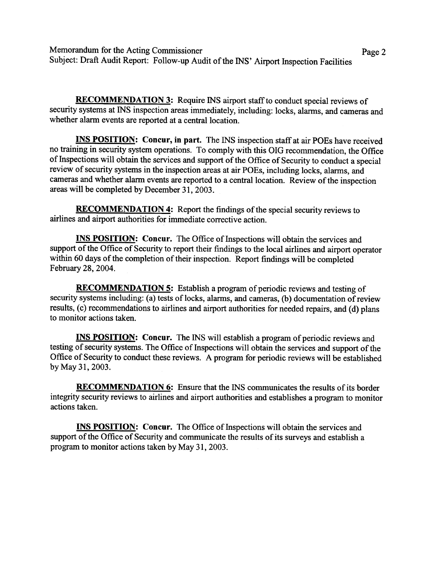Memorandum for the Acting Commissioner Page 2 Subject: Draft Audit Report: Follow-up Audit of the INS' Airport Inspection Facilities

RECOMMENDATION 3: Require INS airport staff to conduct special reviews of security systems at INS inspection areas immediately, including: locks, alarms, and cameras and whether alarm events are reported at a central location.

**INS POSITION:** Concur, in part. The INS inspection staff at air POEs have received no training in security system operations. To comply with this OIG recommendation, the Office of Inspections will obtain the services and support of the Office of Security to conduct a special review of security systems in the inspection areas at air FOEs, including locks, alarms, and cameras and whether alarm events are reported to a central location. Review of the inspection areas will be completed by December 31, 2003.

RECOMMENDATION 4: Report the findings of the special security reviews to airlines and airport authorities for immediate corrective action.

INS POSITION: Concur. The Office of Inspections will obtain the services and support of the Office of Security to report their findings to the local airlines and airport operator within 60 days of the completion of their inspection. Report findings will be completed February 28, 2004.

RECOMMENDATION 5: Establish a program of periodic reviews and testing of security systems including: (a) tests of locks, alarms, and cameras, (b) documentation of review results, (c) recommendations to airlines and airport authorities for needed repairs, and (d) plans to monitor actions taken.

INS POSITION: Concur. The INS will establish a program of periodic reviews and testing of security systems. The Office of Inspections will obtain the services and support of the Office of Security to conduct these reviews. A program for periodic reviews will be established by May 31,2003.

**RECOMMENDATION 6:** Ensure that the INS communicates the results of its border integrity security reviews to airlines and airport authorities and establishes a program to monitor actions taken.

INS POSITION: Concur. The Office of Inspections will obtain the services and support of the Office of Security and communicate the results of its surveys and establish a program to monitor actions taken by May 31. 2003.